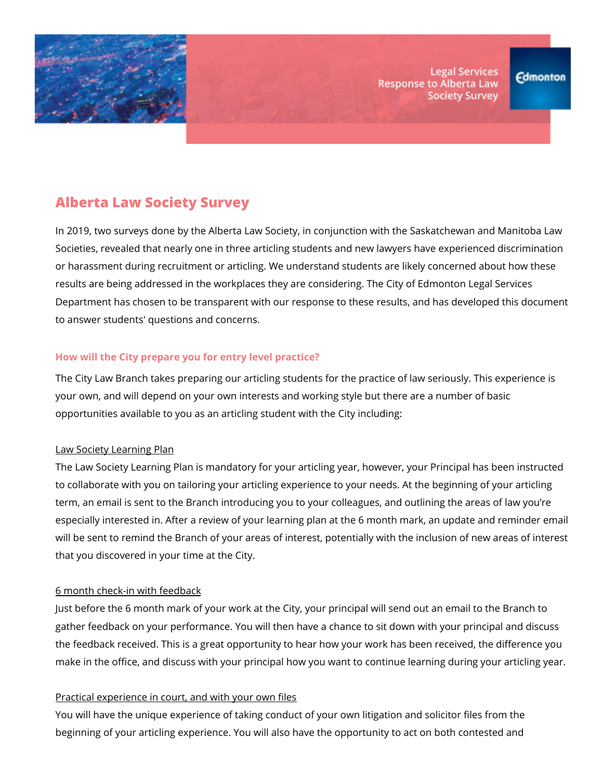

**Legal Services Response to Alberta Law Society Survey** 

# **Alberta Law Society Survey**

In 2019, two surveys done by the Alberta Law Society, in conjunction with the Saskatchewan and Manitoba Law Societies, revealed that nearly one in three articling students and new lawyers have experienced discrimination or harassment during recruitment or articling. We understand students are likely concerned about how these results are being addressed in the workplaces they are considering. The City of Edmonton Legal Services Department has chosen to be transparent with our response to these results, and has developed this document to answer students' questions and concerns.

### **How will the City prepare you for entry level practice?**

The City Law Branch takes preparing our articling students for the practice of law seriously. This experience is your own, and will depend on your own interests and working style but there are a number of basic opportunities available to you as an articling student with the City including:

#### Law Society Learning Plan

The Law Society Learning Plan is mandatory for your articling year, however, your Principal has been instructed to collaborate with you on tailoring your articling experience to your needs. At the beginning of your articling term, an email is sent to the Branch introducing you to your colleagues, and outlining the areas of law you're especially interested in. After a review of your learning plan at the 6 month mark, an update and reminder email will be sent to remind the Branch of your areas of interest, potentially with the inclusion of new areas of interest that you discovered in your time at the City.

#### 6 month check-in with feedback

Just before the 6 month mark of your work at the City, your principal will send out an email to the Branch to gather feedback on your performance. You will then have a chance to sit down with your principal and discuss the feedback received. This is a great opportunity to hear how your work has been received, the difference you make in the office, and discuss with your principal how you want to continue learning during your articling year.

# Practical experience in court, and with your own files

You will have the unique experience of taking conduct of your own litigation and solicitor files from the beginning of your articling experience. You will also have the opportunity to act on both contested and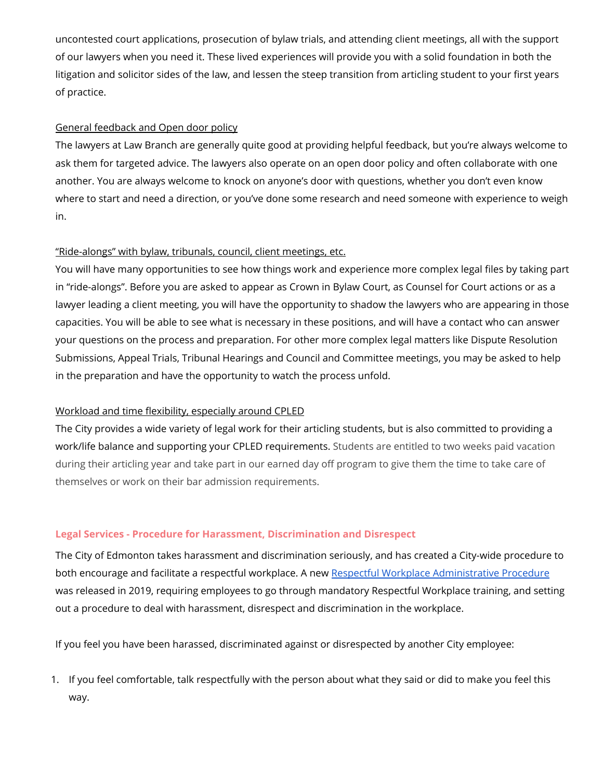uncontested court applications, prosecution of bylaw trials, and attending client meetings, all with the support of our lawyers when you need it. These lived experiences will provide you with a solid foundation in both the litigation and solicitor sides of the law, and lessen the steep transition from articling student to your first years of practice.

## General feedback and Open door policy

The lawyers at Law Branch are generally quite good at providing helpful feedback, but you're always welcome to ask them for targeted advice. The lawyers also operate on an open door policy and often collaborate with one another. You are always welcome to knock on anyone's door with questions, whether you don't even know where to start and need a direction, or you've done some research and need someone with experience to weigh in.

# "Ride-alongs" with bylaw, tribunals, council, client meetings, etc.

You will have many opportunities to see how things work and experience more complex legal files by taking part in "ride-alongs". Before you are asked to appear as Crown in Bylaw Court, as Counsel for Court actions or as a lawyer leading a client meeting, you will have the opportunity to shadow the lawyers who are appearing in those capacities. You will be able to see what is necessary in these positions, and will have a contact who can answer your questions on the process and preparation. For other more complex legal matters like Dispute Resolution Submissions, Appeal Trials, Tribunal Hearings and Council and Committee meetings, you may be asked to help in the preparation and have the opportunity to watch the process unfold.

# Workload and time flexibility, especially around CPLED

The City provides a wide variety of legal work for their articling students, but is also committed to providing a work/life balance and supporting your CPLED requirements. Students are entitled to two weeks paid vacation during their articling year and take part in our earned day off program to give them the time to take care of themselves or work on their bar admission requirements.

#### **Legal Services - Procedure for Harassment, Discrimination and Disrespect**

The City of Edmonton takes harassment and discrimination seriously, and has created a City-wide procedure to both encourage and facilitate a respectful workplace. A new Respectful Workplace [Administrative](https://www.edmonton.ca/city_government/documents/PoliciesDirectives/Respectful_Workplace_Administrative_Procedure.pdf) Procedure was released in 2019, requiring employees to go through mandatory Respectful Workplace training, and setting out a procedure to deal with harassment, disrespect and discrimination in the workplace.

If you feel you have been harassed, discriminated against or disrespected by another City employee:

1. If you feel comfortable, talk respectfully with the person about what they said or did to make you feel this way.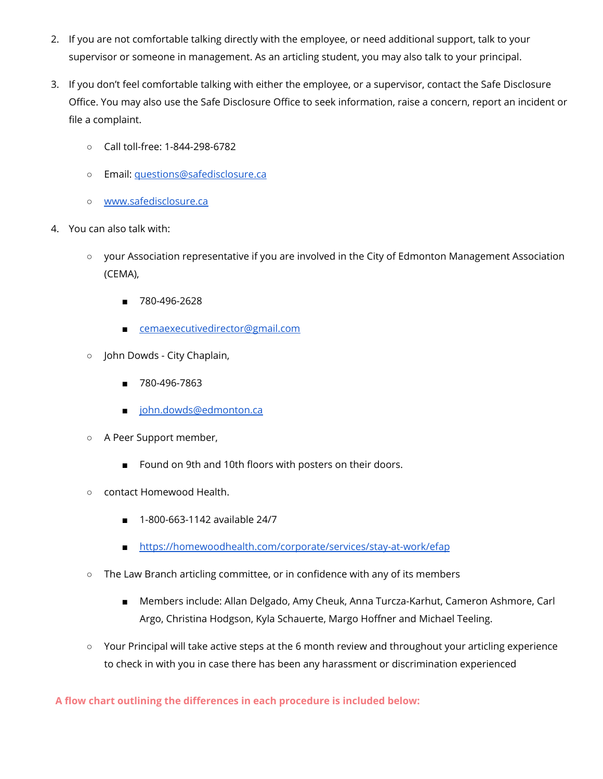- 2. If you are not comfortable talking directly with the employee, or need additional support, talk to your supervisor or someone in management. As an articling student, you may also talk to your principal.
- 3. If you don't feel comfortable talking with either the employee, or a supervisor, contact the Safe Disclosure Office. You may also use the Safe Disclosure Office to seek information, raise a concern, report an incident or file a complaint.
	- Call toll-free: 1-844-298-6782
	- Email: [questions@safedisclosure.ca](mailto:questions@safedisclosure.ca)
	- [www.safedisclosure.ca](http://www.safedisclosure.ca/)
- 4. You can also talk with:
	- your Association representative if you are involved in the City of Edmonton Management Association (CEMA),
		- 780-496-2628
		- [cemaexecutivedirector@gmail.com](mailto:cemaexecutivedirector@gmail.com)
	- John Dowds City Chaplain,
		- 780-496-7863
		- [john.dowds@edmonton.ca](mailto:john.dowds@edmonton.ca)
	- A Peer Support member,
		- Found on 9th and 10th floors with posters on their doors.
	- contact Homewood Health.
		- 1-800-663-1142 available 24/7
		- <https://homewoodhealth.com/corporate/services/stay-at-work/efap>
	- The Law Branch articling committee, or in confidence with any of its members
		- Members include: Allan Delgado, Amy Cheuk, Anna Turcza-Karhut, Cameron Ashmore, Carl Argo, Christina Hodgson, Kyla Schauerte, Margo Hoffner and Michael Teeling.
	- Your Principal will take active steps at the 6 month review and throughout your articling experience to check in with you in case there has been any harassment or discrimination experienced

**A flow chart outlining the differences in each procedure is included below:**